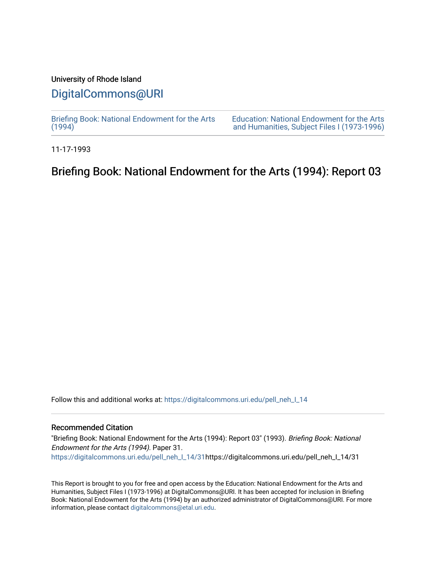## University of Rhode Island

# [DigitalCommons@URI](https://digitalcommons.uri.edu/)

[Briefing Book: National Endowment for the Arts](https://digitalcommons.uri.edu/pell_neh_I_14)  $(1994)$ 

[Education: National Endowment for the Arts](https://digitalcommons.uri.edu/pell_neh_I)  [and Humanities, Subject Files I \(1973-1996\)](https://digitalcommons.uri.edu/pell_neh_I) 

11-17-1993

# Briefing Book: National Endowment for the Arts (1994): Report 03

Follow this and additional works at: [https://digitalcommons.uri.edu/pell\\_neh\\_I\\_14](https://digitalcommons.uri.edu/pell_neh_I_14?utm_source=digitalcommons.uri.edu%2Fpell_neh_I_14%2F31&utm_medium=PDF&utm_campaign=PDFCoverPages) 

### Recommended Citation

"Briefing Book: National Endowment for the Arts (1994): Report 03" (1993). Briefing Book: National Endowment for the Arts (1994). Paper 31. [https://digitalcommons.uri.edu/pell\\_neh\\_I\\_14/31h](https://digitalcommons.uri.edu/pell_neh_I_14/31?utm_source=digitalcommons.uri.edu%2Fpell_neh_I_14%2F31&utm_medium=PDF&utm_campaign=PDFCoverPages)ttps://digitalcommons.uri.edu/pell\_neh\_I\_14/31

This Report is brought to you for free and open access by the Education: National Endowment for the Arts and Humanities, Subject Files I (1973-1996) at DigitalCommons@URI. It has been accepted for inclusion in Briefing Book: National Endowment for the Arts (1994) by an authorized administrator of DigitalCommons@URI. For more information, please contact [digitalcommons@etal.uri.edu.](mailto:digitalcommons@etal.uri.edu)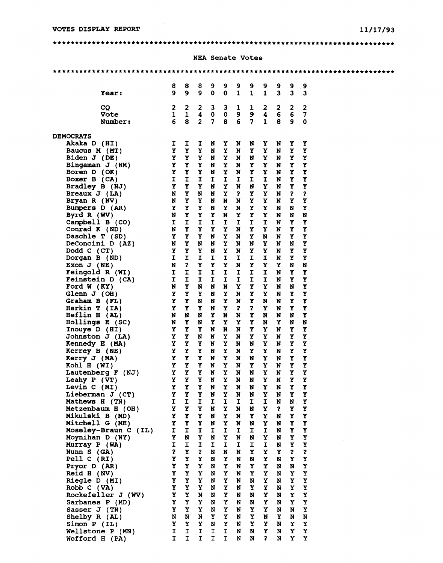#### $11/17/93$

 $\sim$ 

### 

#### **NEA Senate Votes**

|                                    | 8                            | 8            | 8                            | 9              | 9              | 9                            | 9                       | 9                       | 9                       | 9                       | 9                       |  |
|------------------------------------|------------------------------|--------------|------------------------------|----------------|----------------|------------------------------|-------------------------|-------------------------|-------------------------|-------------------------|-------------------------|--|
| Year:                              | $\mathbf{9}$                 | $\mathbf{9}$ | $\mathbf{9}$                 | $\Omega$       | $\mathbf 0$    | $\mathbf{1}$                 | $\mathbf{1}$            | $\mathbf{1}$            | $\overline{\mathbf{3}}$ | $\overline{\mathbf{3}}$ | $\overline{\mathbf{3}}$ |  |
| <b>CQ</b>                          | $\mathbf{2}$                 | $\mathbf{2}$ | $\mathbf{2}$                 | 3 <sup>1</sup> | 3 <sup>1</sup> | 1                            | $\mathbf{I}$            | $\overline{\mathbf{2}}$ | $\overline{\mathbf{2}}$ | $\mathbf{2}$            | 2                       |  |
| Vote                               | $\mathbf{1}$                 | $\mathbf{1}$ | $\blacktriangleleft$         | 0              | $\mathbf{o}$   | 9                            | 9                       | $\blacktriangleleft$    | $6\phantom{1}6$         | $\boldsymbol{6}$        | 7                       |  |
| Number:                            | 6                            | 8            | $\overline{2}$               | $\overline{7}$ | 8              | $6\phantom{a}$               | $\overline{7}$          | $\mathbf{1}$            | 8                       | 9                       | 0                       |  |
| <b>DEMOCRATS</b>                   |                              |              |                              |                |                |                              |                         |                         |                         |                         |                         |  |
| Akaka D (HI)                       | I                            | I.           | I                            | N              | Y.             | N                            | N                       | Y                       | N                       | Y                       | Y                       |  |
| Baucus M (MT)                      | Y                            | Y            | Y                            | N              | Y              | N                            | Y                       | Y                       | N                       | Y                       | Y                       |  |
| Biden $J$ (DE)                     | Y                            | Y            | Y                            | N              | Y              | N                            | N                       | Y                       | N                       | Y                       | Y                       |  |
| Bingaman $J$ (NM)                  | Y                            | <b>Y</b>     | Y                            | N              | Y              | N                            | Y                       | Y                       | N                       | Y                       | Υ                       |  |
| Boren D (OK)                       | $\mathbf{Y}$<br>$\mathbf{I}$ | Y<br>I       | Y<br>I                       | N<br>I         | Y              | N                            | Y<br>I                  | Y                       | N                       | Y                       | Y<br>Y                  |  |
| Boxer B (CA)<br>Bradley B (NJ)     | Y                            | Y            | Y                            | N              | I<br>Y         | I<br>N                       | N                       | I<br>Y                  | N<br>N                  | Y<br>Y                  | Y                       |  |
| Breaux $J$ (LA)                    | N                            | Y            | N                            | N              | Y              | $\mathbf{r}$                 | Y                       | Y                       | N                       | $\mathbf{r}$            | 3                       |  |
| Bryan R (NV)                       | N                            | Y            | Y                            | N              | N              | N                            | Υ                       | Y                       | N                       | Y                       | Y                       |  |
| Bumpers D (AR)                     | Y                            | Y            | Y                            | N              | Y              | N                            | Y                       | Y                       | N                       | N                       | Y                       |  |
| Byrd R (WV)                        | N                            | Y            | Y                            | Y              | N              | Y                            | Y                       | Y                       | N                       | N                       | N                       |  |
| Campbell B (CO)                    | $\mathbf{I}$                 | $\mathbf{I}$ | I                            | I              | I.             | I                            | I                       | I                       | N                       | Y                       | Y                       |  |
| Conrad K (ND)                      | N                            | Y            | Y                            | Y              | Y              | N                            | Y                       | Y                       | N                       | Y                       | Y                       |  |
| Daschle T (SD)                     | Y                            | Y            | Y                            | N              | Y              | N                            | Y                       | N                       | N                       | Y                       | Y                       |  |
| DeConcini D (AZ)<br>Dodd C (CT)    | N<br>Y                       | Y<br>Y       | N<br>Y                       | N<br>N         | Y<br>Y         | N<br>N                       | N<br>Y                  | Y<br>Y                  | N<br>N                  | N<br>Y                  | Y<br>Y                  |  |
| Dorgan B (ND)                      | $\mathbf{I}$                 | $\mathbf I$  | $\mathbf{r}$                 | $\mathbf{I}$   | $\mathbf{I}$   | I.                           | I                       | $\mathbf I$             | N                       | Y                       | Y                       |  |
| Exon $J(NE)$                       | N                            | $\mathbf{r}$ | Y                            | Y              | Y              | N                            | Y                       | Y                       | Y                       | N                       | N                       |  |
| Feingold R (WI)                    | I                            | $\mathbf{I}$ | $\mathbf I$                  | $\mathbf{I}$   | $\mathbf I$    | I                            | $\mathbf{I}$            | $\mathbf{I}$            | N                       | Y.                      | Y                       |  |
| Feinstein D (CA)                   | $\mathbf{I}$                 | $\mathbf{I}$ | $\mathbf{I}$                 | I.             | $\mathbf{I}$   | I.                           | $\mathbf{I}$            | $\mathbf{r}$            | N                       | Y                       | Y                       |  |
| Ford $W(KY)$                       | N                            | Y            | N                            | N              | N              | Y                            | Y                       | Y                       | N                       | N                       | Y                       |  |
| Glenn $J$ (OH)                     | Y                            | Y            | Y                            | N              | Y              | N                            | Y                       | Y                       | N                       | Y                       | Y                       |  |
| Graham B (FL)                      | Y                            | Y            | N                            | N              | Y              | N                            | Y                       | N                       | N                       | Y                       | Y                       |  |
| Harkin $T$ (IA)                    | Y                            | Y            | Y                            | N<br>Y         | Y              | $\overline{\mathbf{r}}$<br>N | $\overline{\mathbf{z}}$ | Y                       | N                       | Y                       | Y<br>Y                  |  |
| Heflin H (AL)<br>Hollings E (SC)   | N<br>N                       | N<br>Y       | N<br>N                       | Y              | N<br>Y         | Y                            | Y<br>Y                  | N<br>N                  | N<br>Y                  | N<br>N                  | N                       |  |
| Inouye D (HI)                      | Y                            | Y            | Y                            | N              | N              | N                            | Y                       | Y                       | N                       | Y                       | Y                       |  |
| Johnston J (LA)                    | Y                            | Y            | N                            | N              | Y              | N                            | Y                       | Y                       | N                       | Y                       | Y                       |  |
| Kennedy E (MA)                     | $\mathbf{Y}$                 | Y            | Y                            | N              | Y              | N                            | N                       | Y                       | N                       | Y                       | Y                       |  |
| Kerrey B (NE)                      | Y                            | Y            | Y                            | N              | Y              | N                            | Y                       | Y                       | N                       | Y                       | Y                       |  |
| Kerry J (MA)                       | Y                            | Y            | Y                            | N              | Y              | N                            | N                       | Y                       | N                       | Y                       | Y                       |  |
| Kohl H (WI)                        | Y                            | Y            | Y                            | N              | Y              | N                            | Y                       | Y                       | N                       | Y                       | Y                       |  |
| Lautenberg $F(NJ)$                 | Y.                           | Y            | Y                            | N              | Y              | N                            | N                       | Y                       | N                       | Y                       | Y                       |  |
| Leahy $P$ (VT)                     | Y                            | Y            | Y                            | N              | Y              | N                            | N                       | Y                       | N                       | Y                       | Y                       |  |
| Levin C (MI)<br>Lieberman $J$ (CT) | Y<br>Y                       | Y<br>Y       | Y<br>Y                       | N<br>N         | Y<br>Y         | N<br>N                       | N<br>N                  | Y<br>Y                  | N<br>N                  | Y<br>Y                  | Y<br>Y                  |  |
| Mathews H (TN)                     | I.                           | $\mathbf{I}$ | I                            | I              | I              | I                            | I.                      | I                       | N                       | $\mathbf{N}$            | Y                       |  |
| Metzenbaum H (OH)                  | Y                            | Y            | Y                            | N              | Y              | N                            | N                       | Y                       | $\mathbf{r}$            | Y                       | Υ                       |  |
| Mikulski B (MD)                    | Y                            | Y            | Y                            | N              | Y              | N                            | Y                       | Y                       | N                       | Y                       | Y                       |  |
| Mitchell G (ME)                    | Y                            | Y            | Y                            | N              | Y              | N                            | N                       | Y                       | N                       | Υ                       | Υ                       |  |
| Moseley-Braun C (IL)               | I                            | I            | $\mathbf I$                  | I.             | $\mathbf{I}$   | I                            | I                       | I                       | N                       | Y                       | Y                       |  |
| Moynihan D (NY)                    | Y                            | N            | Y                            | N              | Y              | N                            | N                       | Y                       | N                       | Y                       | Y                       |  |
| Murray P (WA)                      | I                            | I<br>Y       | I                            | I              | $\mathbf I$    | I                            | I                       | $\mathbf I$             | N                       | Y                       | Υ<br>\$                 |  |
| Nunn S (GA)<br>Pell $C$ (RI)       | $\mathbf{z}$<br>Y            | Y            | $\overline{\mathbf{z}}$<br>Y | N<br>N         | N<br>Y         | N<br>N                       | Y<br>N                  | $\mathbf Y$<br>Y        | Y<br>N                  | $\mathbf{r}$<br>Y       | Y                       |  |
| Pryor D (AR)                       | Y                            | Y            | Y                            | N              | Y              | N                            | Y                       | Y                       | N                       | N                       | Y                       |  |
| Reid H (NV)                        | Y.                           | Y            | Y                            | N              | Y              | N                            | Y                       | Y                       | N                       | Y                       | Υ                       |  |
| Riegle D (MI)                      | Y                            | Y            | Y                            | N              | Υ              | N                            | N                       | Y                       | N                       | Y                       | Υ                       |  |
| Robb C (VA)                        | Y                            | Y            | Y                            | N              | Y              | N                            | Y                       | Y                       | N                       | Y                       | Y                       |  |
| Rockefeller J (WV)                 | Y                            | Y            | N                            | N              | Y              | N                            | N                       | Y                       | N                       | Y                       | Υ                       |  |
| Sarbanes P (MD)                    | Y                            | Y            | Y                            | N              | Y              | N                            | N                       | Y                       | N                       | Y                       | Y                       |  |
| Sasser J (TN)                      | Y                            | Y            | Y                            | N              | Y              | N                            | Y                       | Y                       | N                       | N                       | Υ                       |  |
| Shelby R (AL)                      | N<br>Y                       | N<br>Y       | N<br>Y                       | Υ              | Y              | N<br>N                       | Y<br>Y                  | N<br>Y                  | Y<br>N                  | N                       | ${\bf N}$               |  |
| Simon P (IL)<br>Wellstone P (MN)   | I                            | $\mathbf I$  | I                            | N<br>I         | Y<br>I         | N                            | N                       | Y                       | N                       | Y<br>Y                  | Y<br>$\mathbf Y$        |  |
| Wofford H (PA)                     | Ι.                           | I.           | I.                           | I.             | I              | N                            | N                       | $\mathbf{r}$            | N                       | Y                       | Y                       |  |
|                                    |                              |              |                              |                |                |                              |                         |                         |                         |                         |                         |  |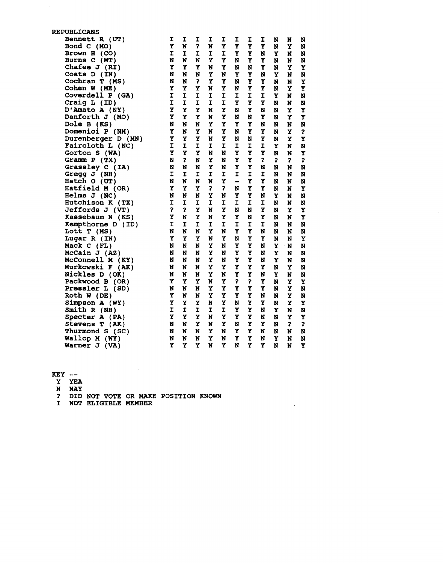| <b>REPUBLICANS</b> |                         |                         |                         |                         |                         |                              |    |   |   |   |             |
|--------------------|-------------------------|-------------------------|-------------------------|-------------------------|-------------------------|------------------------------|----|---|---|---|-------------|
| Bennett R (UT)     | I                       | I                       | I                       | I                       | I                       | I                            | I  | I | N | N | N           |
| Bond C (MO)        | Y                       | N                       | $\overline{\mathbf{r}}$ | N                       | Y                       | Y                            | Y  | Y | N | Y | N           |
| Brown H (CO)       | I                       | I                       | I                       | $\mathbf{I}$            | I                       | Y                            | Y  | N | Y | N | N           |
| Burns C (MT)       | N                       | N                       | N                       | Υ                       | Y                       | N                            | Y  | Y | N | N | N           |
| Chafee $J$ (RI)    | Y                       | Y                       | Y                       | N                       | Y                       | N                            | N  | Y | N | Y | Y           |
| Coats D (IN)       | N                       | N                       | N                       | Y                       | N                       | Y                            | Y  | N | Y | N | N           |
| Cochran $T$ (MS)   | N                       | N                       | 7                       | Y                       | Y                       | N                            | Y  | Y | N | N | Y           |
| Cohen $W$ (ME)     | Y                       | Y                       | Y                       | N                       | Υ                       | N                            | Y  | Y | N | Y | Y           |
| Coverdell P (GA)   | I                       | I                       | I                       | $\mathbf I$             | $\mathbf I$             | I                            | I  | I | Y | N | N           |
| Craig L (ID)       | I                       | I                       | I                       | I                       | $\mathbf{I}$            | Y                            | Y  | Y | N |   |             |
|                    | Y                       | Y                       | Y                       | N                       | Y                       | N                            | Y  |   |   | N | N           |
| D'Amato A (NY)     | Y                       |                         |                         |                         | Y                       |                              |    | N | N | Y | Y           |
| Danforth J (MO)    |                         | Y                       | Y                       | N                       |                         | N                            | N  | Y | N | Y | Y           |
| Dole B (KS)        | N                       | N                       | N                       | Y                       | Y                       | Y                            | Y  | N | N | N | N           |
| Domenici P (NM)    | Y                       | N                       | Y                       | N                       | Y                       | N                            | Y  | Y | N | Y | \$          |
| Durenberger D (MN) | Y                       | Y                       | Y                       | N                       | Y                       | N                            | N  | Y | N | Y | Y           |
| Faircloth L (NC)   | I                       | I                       | I                       | I                       | I                       | I                            | I  | I | Y | N | N           |
| Gorton S (WA)      | Y                       | Y                       | Y                       | N                       | N                       | Y                            | Y  | Y | N | N | Y           |
| Gramm $P(TX)$      | N                       | \$                      | N                       | Y                       | N                       | Y                            | Y  | 3 | 3 | 3 | 3           |
| Grassley C (IA)    | N                       | N                       | N                       | Y                       | N                       | Y                            | Y  | N | N | N | N           |
| Gregg $J(NH)$      | I                       | I                       | I                       | I                       | I                       | I                            | I  | I | N | N | N           |
| Hatch O (UT)       | N                       | N                       | N                       | N                       | Y                       | $\qquad \qquad \blacksquare$ | Y  | Y | N | N | N           |
| Hatfield M (OR)    | Y                       | Y                       | Y                       | $\overline{\mathbf{z}}$ | $\overline{\mathbf{z}}$ | N                            | Y  | Y | N | N | Y           |
| Helms $J(NC)$      | N                       | N                       | N                       | Y                       | N                       | Y                            | Y  | N | Y | N | N           |
| Hutchison K (TX)   | I                       | I                       | I                       | I                       | I                       | I                            | I  | I | N | N | N           |
| Jeffords J (VT)    | $\overline{\mathbf{r}}$ | $\overline{\mathbf{r}}$ | Y                       | N                       | Y                       | N                            | N  | Y | N | Y | Υ           |
| Kassebaum N (KS)   | Y                       | N                       | Y                       | N                       | Y                       | Y                            | N  | Y | N | N | Y           |
| Kempthorne D (ID)  | Ĩ.                      | I                       | I                       | I                       | r                       | I                            | I  | I | N | N | N           |
| Lott T (MS)        | N                       | N                       | N                       | Y                       | N                       | Y                            | Y  | N | N | N | N           |
| Lugar R (IN)       | Y                       | Y                       | Y                       | N                       | Y                       | N                            | Y  | Y | N | N | Y           |
| Mack C (FL)        | N                       | N                       | N                       | Y                       | N                       | Y                            | Y  | N | Y | N | $\mathbf N$ |
| McCain $J(AZ)$     | N                       | N                       | N                       | Y                       | N                       | Y                            | Y  | N | Y | N | N           |
| McConnell M (KY)   | N                       | N                       | N                       | Y                       | N                       | Y                            | Y  | N | Y | N | N           |
| Murkowski F (AK)   | N                       | N                       | N                       | Y                       | Y                       | Y                            | Y  | Y | N | Y | N           |
| Nickles D (OK)     | N                       | N                       | N                       | Y                       | N                       | Y                            | Y  | N | Y | N | N           |
| Packwood B (OR)    | Y                       | Y                       | Y                       | N                       | Y                       | $\overline{\mathbf{r}}$      | \$ | Y | N | Y | Y           |
| Pressler L (SD)    | N                       | N                       | N                       | Y                       | Y                       | Y                            | Y  | Y | N | Y | N           |
| Roth W (DE)        | Y                       | N                       | N                       | Y                       | Y                       | Y                            | Y  | N | N | Y | N           |
| Simpson A (WY)     | Y                       | Y                       | Y                       | N                       | Y                       | N                            | Y  | Y | N | Y | Y           |
| Smith R (NH)       | I                       | I                       | $\mathbf I$             | I                       | I                       | Y                            | Y  | N | Y | N | N           |
| Specter A (PA)     | Y                       | Y                       | Y                       | N                       | Y                       | Y                            | Y  | N | N | Y | Y           |
| Stevens T (AK)     | N                       | N                       | Y                       | N                       | Y                       | N                            | Y  | Y | N | 2 | 2           |
| Thurmond S (SC)    | N                       | N                       | N                       | Y                       | N                       | Y                            | Y  | N | N | N | N           |
| Wallop M (WY)      | N                       | N                       | N                       | Y                       | N                       | Y                            | Y  | N | Y | N | N           |
|                    | Y                       | Y                       | Y                       | N                       | Y                       | N                            | Y  | Y | N | N | Y           |
| Warner J (VA)      |                         |                         |                         |                         |                         |                              |    |   |   |   |             |

 $\mathcal{L}^{\text{max}}_{\text{max}}$ 

 $\omega_{\rm c}$ 

- $KEY$  --
- Y YEA
- 
- N NAY<br>? DID NOT VOTE OR MAKE POSITION KNOWN<br>I NOT ELIGIBLE MEMBER
-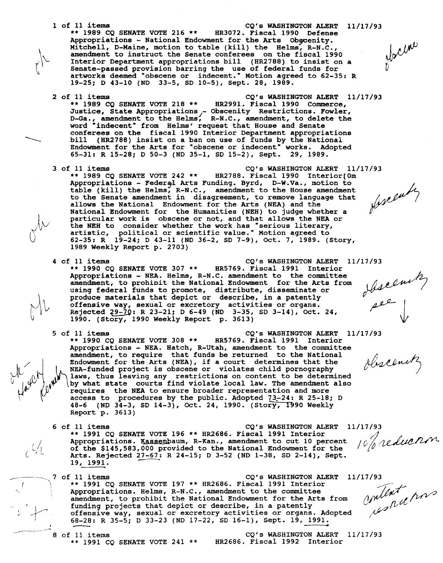1 of 11 items CQ's WASHINGTON ALERT 11/17/93 \*\* 1989 CQ SENATE VOTE 216 \*\* HR3072. Fiscal 1990 Defense flocum Appropriations - National Endowment for the Arts Obscenity. Mitchell, D-Maine, motion to table (kill) the Helms, R-N.C. amendment to instruct the Senate conferees on the fiscal 1990 Interior Department appropriations bill (HR2788) to insist on a Senate-passed provision barring the use of federal funds for artworks deemed "obscene or indecent." Motion agreed to 62-35: R 19-25; D 43-10 (ND 33-5, SD 10-5), Sept. 28, 1989. 2 of 11 items CQ's WASHINGTON ALERT 11/17/93<br>\*\* 1989 CQ SENATE VOTE 218 \*\* HR2991. Fiscal 1990 Commerce, \*\* 1989 CQ SENATE VOTE 218 \*\* HR2991. Fiscal 1990 Commerce, Justice, State Appropriations <sup>1</sup>- Obscenity Restrictions. Fowler, D-Ga., amendment to the Helms, R-N.C., amendment, to delete the word "indecent" from Helms' request that House and Senate conferees on the fiscal 1990 Interior Department appropriations bill (HR2788) insist on a ban on use of funds by the National Endowment for the Arts for "obscene or indecent" works. Adopted 65-31: R 15-28; D 50-3 (ND 35-1, SD 15-2), Sept. 29, 1989. 3 of 11 items CQ's WASHINGTON ALERT 11/17/93<br>\*\* 1989 CQ SENATE VOTE 242 \*\* HR2788. Fiscal 1990 Interior [0m HR2788. Fiscal 1990 Interior[Om Appropriations - Federal Arts Funding. Byrd, D-W.Va., motion to<br>table (kill) the Helms, R-N.C., amendment to the House amendment Appropriations D-W.Va., motion fixeently to the Senate amendment in disagreement, to remove language that allows the National Endowment for the Arts (NEA) and the National Endowment for the Humanities (NEB) to judge whether a particular work is obscene or not, and that allows the NEA or the NEH to consider whether the work has "serious literary, artistic, political or scientific value." Motion agreed to 62-35: R 19-24; D 43-11 (ND 36-2, SD 7-9), Oct. 7, 1989. (Story, 1989 Weekly Report p. 2703) 4 of 11 items<br>\*\* 1990 CQ SENATE VOTE 307 \*\* HR5769. Fiscal 1991 Interior<br># 1990 CQ SENATE VOTE 307 \*\* HR5769. Fiscal 1991 Interior  $**$  1990 CQ SENATE VOTE 307  $**$ beseemby<br>per 1 Appropriations - NEA. Helms, R-N.C. amendment to the committee amendment, to prohibit the National Endowment for the Arts from using federal funds to promote, distribute, disseminate or produce materials that depict or describe, in a patently offensive way, sexual or excretory activities or organs. Rejected  $29-70$ : R 23-21; D 6-49 (ND 3-35, SD 3-14), Oct. 24, 1990. (Story, 1990 Weekly Report p. 3613) 5 of 11 items CQ's WASHINGTON ALERT 11/17/93<br>\*\* 1990 CQ SENATE VOTE 308 \*\* HR5769. Fiscal 1991 Interior HR5769. Fiscal 1991 Interior Appropriations - NEA. Hatch, R-Utah, amendment to the committee amendment, to require that funds be returned to the National<br>Endowment for the Arts (NEA), if a court determines that the<br>NEA-funded project is obscene or violates child pornography NEA-funded project is obscene or violates child pornography<br>laws, thus leaving any restrictions on content to be determined<br>by what state courts find violate local law. The amendment also  $\begin{pmatrix} 0 & 0 & 0 \\ 0 & 0 & 0 \\ 0 & 0 & 0 \end{pmatrix}$  and  $\begin{pmatrix} 0 & 0 \\ 0 & 0 \\ 0 & 0 \end{pmatrix}$  and  $\begin{pmatrix} 0 & 0 \\ 0 & 0 \\ 0 & 0 \end{pmatrix}$  what state courts find violate local law. The amendment also requires the NEA to ensure broader representati 48-6 (ND 34-3, SD 14-3), Oct. 24, 1990. (Story, 1990 Weekly Report p. 3613) 6 of 11 items CQ's WASHINGTON ALERT 11/17/93 \*\* 1991 CQ SENATE VOTE 196 \*\* HR2686. Fiscal 1991 Interior 10% reduction Appropriations. Kassenbaum, R-Kan., amendment to cut 10 percent  $\mathcal{Q}_1$ of the \$145,583,000 provided to the National Endowment for the Arts. Rejected 27-67: R 24-15; D 3-52 (ND 1-38, SD 2-14), Sept. 19, 1991. milent pour  $\overline{\phantom{0}}$   $\overline{\phantom{0}}$   $\overline{\phantom{0}}$   $\overline{\phantom{0}}$   $\overline{\phantom{0}}$   $\overline{\phantom{0}}$   $\overline{\phantom{0}}$   $\overline{\phantom{0}}$   $\overline{\phantom{0}}$   $\overline{\phantom{0}}$   $\overline{\phantom{0}}$   $\overline{\phantom{0}}$   $\overline{\phantom{0}}$   $\overline{\phantom{0}}$   $\overline{\phantom{0}}$   $\overline{\phantom{0}}$   $\overline{\phantom{0}}$   $\overline{\phantom{0}}$   $\overline{\$ of 11 items CQ's WASHINGTON ALERT 11/17 /93 \*\* 1991 CQ SENATE VOTE 197 \*\* HR2686. Fiscal 1991 Interior  $\sim$   $\leftarrow$   $\leftarrow$   $\leftarrow$ Appropriations. Helms, R-N.C., amendment to the committee amendment, to prohibit the National Endowment for the Arts from funding projects that depict or describe, in a patently offensive way, sexual or excretory activities or organs. Adopted 68-28: R 35-5; D 33-23 (ND 17-22, SD 16-1), Sept. 19, 1991. I -·-~

8 of 11 items CQ's WASHINGTON ALERT 11/17/93<br>\*\* 1991 CO SENATE VOTE 241 \*\* HR2686. Fiscal 1992 Interior  $**$  1991 CO SENATE VOTE 241  $**$